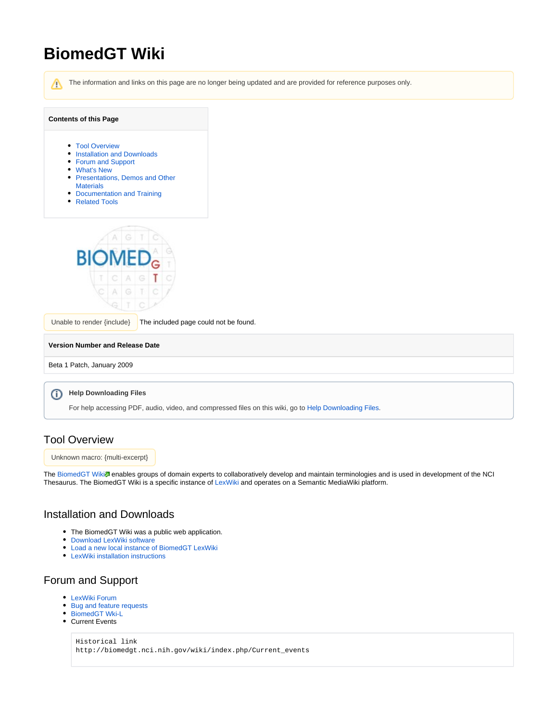# **BiomedGT Wiki**

```
The information and links on this page are no longer being updated and are provided for reference purposes only.
 Λ
Contents of this Page
     Tool Overview
     Installation and Downloads
     Forum and Support
     What's New
     Presentations, Demos and Other 
       Materials
     Documentation and Training
     Related Tools
        BI
 Unable to render \{include\} The included page could not be found.
Version Number and Release Date
Beta 1 Patch, January 2009
     Help Downloading Files
 ⋒
      For help accessing PDF, audio, video, and compressed files on this wiki, go to Help Downloading Files.
```
#### <span id="page-0-0"></span>Tool Overview

Unknown macro: {multi-excerpt}

The [BiomedGT Wiki](http://biomedgt.nci.nih.gov/wiki/index.php/Main_Page)<sup>3</sup> enables groups of domain experts to collaboratively develop and maintain terminologies and is used in development of the NCI Thesaurus. The BiomedGT Wiki is a specific instance of [LexWiki](https://wiki.nci.nih.gov/display/LexWiki/LexWiki) and operates on a Semantic MediaWiki platform.

#### <span id="page-0-1"></span>Installation and Downloads

- The BiomedGT Wiki was a public web application.
- [Download LexWiki software](https://wiki.nci.nih.gov/display/LexWiki/LexWiki#LexWiki-InstallationandDownloads)
- [Load a new local instance of BiomedGT LexWiki](https://cbiit-download.nci.nih.gov/evs/Protege/Docs/SemanticMediaWikiProjectDocuments/vAlpha2/Create%20a%20New%20Local%20Instance%20of%20BiomedGT%20Lexwiki.doc)
- [LexWiki installation instructions](https://wiki.nci.nih.gov/display/LexWiki/LexWiki+1.0+Installation+Guide#LexWiki1.0InstallationGuide-Prerequisites)

## <span id="page-0-2"></span>Forum and Support

- [LexWiki Forum](https://cabig-kc.nci.nih.gov/Vocab/forums/viewforum.php?f=10&sid=4b9d10ba9136f3a7222e6dab25105d68)
- [Bug and feature requests](http://gforge.nci.nih.gov/tracker/?atid=1449&group_id=360&func=browse)
- [BiomedGT Wki-L](https://list.nih.gov/archives/biomedgt_wiki-l.html)
- Current Events

Historical link http://biomedgt.nci.nih.gov/wiki/index.php/Current\_events